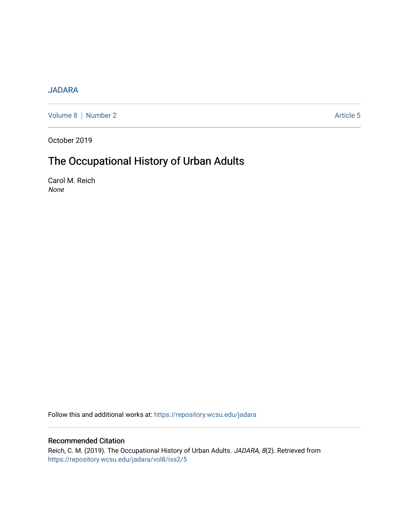## [JADARA](https://repository.wcsu.edu/jadara)

[Volume 8](https://repository.wcsu.edu/jadara/vol8) | [Number 2](https://repository.wcsu.edu/jadara/vol8/iss2) Article 5

October 2019

# The Occupational History of Urban Adults

Carol M. Reich None

Follow this and additional works at: [https://repository.wcsu.edu/jadara](https://repository.wcsu.edu/jadara?utm_source=repository.wcsu.edu%2Fjadara%2Fvol8%2Fiss2%2F5&utm_medium=PDF&utm_campaign=PDFCoverPages)

### Recommended Citation

Reich, C. M. (2019). The Occupational History of Urban Adults. JADARA, 8(2). Retrieved from [https://repository.wcsu.edu/jadara/vol8/iss2/5](https://repository.wcsu.edu/jadara/vol8/iss2/5?utm_source=repository.wcsu.edu%2Fjadara%2Fvol8%2Fiss2%2F5&utm_medium=PDF&utm_campaign=PDFCoverPages)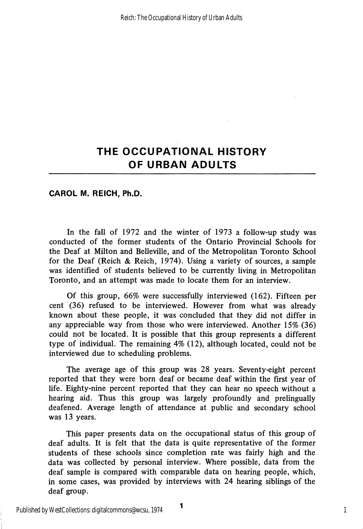CAROL M. REICH, Ph.D.

In the fall of 1972 and the winter of 1973 a follow-up study was conducted of the former students of the Ontario Provincial Schools for the Deaf at Milton and Belleville, and of the Metropolitan Toronto School for the Deaf (Reich & Reich, 1974). Using a variety of sources, a sample was identified of students believed to be currently living in Metropolitan Toronto, and an attempt was made to locate them for an interview.

Of this group, 66% were successfully interviewed (162). Fifteen per cent (36) refused to be interviewed. However from what was already known about these people, it was concluded that they did not differ in any appreciable way from those who were interviewed. Another 15% (36) could not be located. It is possible that this group represents a different type of individual. The remaining 4% (12), although located, could not be interviewed due to scheduling problems.

The average age of this group was 28 years. Seventy-eight percent reported that they were born deaf or became deaf within the first year of life. Eighty-nine percent reported that they can hear no speech without a hearing aid. Thus this group was largely profoundly and prelingually deafened. Average length of attendance at public and secondary school was 13 years.

This paper presents data on the occupational status of this group of deaf adults. It is felt that the data is quite representative of the former students of these schools since completion rate was fairly high and the data was collected by personal interview. Where possible, data from the deaf sample is compared with comparable data on hearing people, which, in some cases, was provided by interviews with 24 hearing siblings of the deaf group.

1

1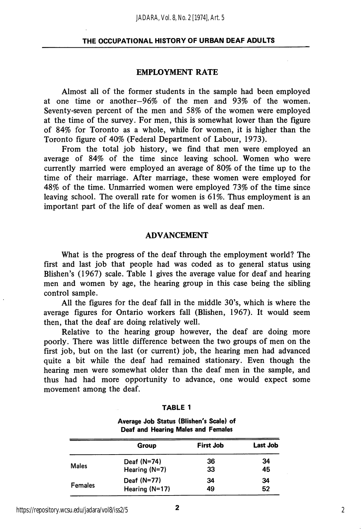#### EMPLOYMENT RATE

Almost all of the former students in the sample had been employed at one time or another—96% of the men and 93% of the women. Seventy-seven percent of the men and 58% of the women were employed at the time of the survey. For men, this is somewhat lower than the figure of 84% for Toronto as a whole, while for women, it is higher than the Toronto figure of 40% (Federal Department of Labour, 1973).

From the total job history, we find that men were employed an average of 84% of the time since leaving school. Women who were currently married were employed an average of 80% of the time up to the time of their marriage. After marriage, these women were employed for 48% of the time. Unmarried women were employed 73% of the time since leaving school. The overall rate for women is 61%. Thus employment is an important part of the life of deaf women as well as deaf men.

#### ADVANCEMENT

What is the progress of the deaf through the employment world? The first and last job that people had was coded as to general status using Blishen's (1967) scale. Table 1 gives the average value for deaf and hearing men and women by age, the hearing group in this case being the sibling control sample.

All the figures for the deaf fall in the middle 30's, which is where the average figures for Ontario workers fall (Bhshen, 1967). It would seem then, that the deaf are doing relatively well.

Relative to the hearing group however, the deaf are doing more poorly. There was little difference between the two groups of men on the first job, but on the last (or current) job, the hearing men had advanced quite a bit while the deaf had remained stationary. Even though the hearing men were somewhat older than the deaf men in the sample, and thus had had more opportunity to advance, one would expect some movement among the deaf.

| п<br>r. |  |
|---------|--|
|---------|--|

Average Job Status (Blishen's Scale) of Deaf and Hearing Males and Females

|                | Group            | <b>First Job</b> | Last Job |
|----------------|------------------|------------------|----------|
|                | Deaf $(N=74)$    | 36               | 34       |
| <b>Males</b>   | Hearing $(N=7)$  | 33               | 45       |
|                | Deaf (N=77)      | 34               | 34       |
| <b>Females</b> | Hearing $(N=17)$ | 49               | 52       |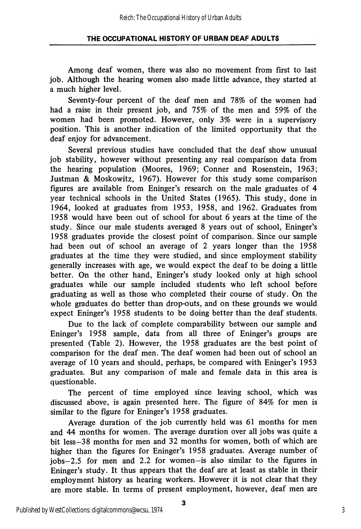Among deaf women, there was also no movement from first to last job. Although the hearing women also made little advance, they started at a much higher level.

Seventy-four percent of the deaf men and 78% of the women had had a raise in their present job, and 75% of the men and 59% of the women had been promoted. However, only 3% were in a supervisory position. This is another indication of the limited opportunity that the deaf enjoy for advancement.

Several previous studies have concluded that the deaf show unusual job stability, however without presenting any real comparison data from the hearing population (Moores, 1969; Conner and Rosenstein, 1963; Justman & Moskowitz, 1967). However for this study some comparison figures are available from Eninger's research on the male graduates of 4 year technical schools in the United States (1965). This study, done in 1964, looked at graduates from 1953, 1958, and 1962. Graduates from 1958 would have been out of school for about 6 years at the time of the study. Since our male students averaged 8 years out of school, Eninger's 1958 graduates provide the closest point of comparison. Since our sample had been out of school an average of 2 years longer than the 1958 graduates at the time they were studied, and since employment stability generally increases with age, we would expect the deaf to be doing a little better. On the other hand, Eninger's study looked only at high school graduates while our sample included students who left school before graduating as well as those who completed their course of study. On the whole graduates do better than drop-outs, and on these grounds we would expect Eninger's 1958 students to be doing better than the deaf students.

Due to the lack of complete comparability between our sample and Eninger's 1958 sample, data from all three of Eninger's groups are presented (Table 2). However, the 1958 graduates are the best point of comparison for the deaf men. The deaf women had been out of school an average of 10 years and should, perhaps, be compared with Eninger's 1953 graduates. But any comparison of male and female data in this area is questionable.

The percent of time employed since leaving school, which was discussed above, is again presented here. The figure of 84% for men is similar to the figure for Eninger's 1958 graduates.

Average duration of the job currently held was 61 months for men and 44 months for women. The average duration over all jobs was quite a bit less—38 months for men and 32 months for women, both of which are higher than the figures for Eninger's 1958 graduates. Average number of jobs—2.5 for men and 2.2 for women—is also similar to the figures in Eninger's study. It thus appears that the deaf are at least as stable in their employment history as hearing workers. However it is not clear that they are more stable. In terms of present employment, however, deaf men are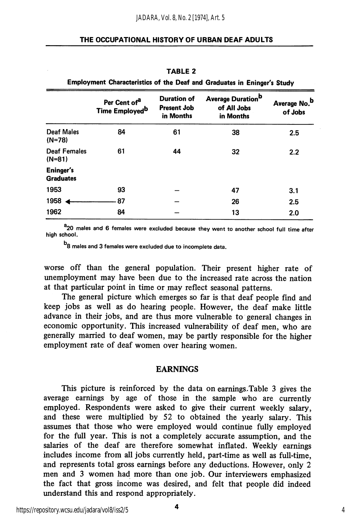|                                      | Per Cent of <sup>a</sup><br>Time Employed <sup>b</sup> | <b>Duration of</b><br><b>Present Job</b><br>in Months | Average Duration <sup>b</sup><br>of All Jobs<br>in Months | Average No. <sup>b</sup><br>of Jobs |
|--------------------------------------|--------------------------------------------------------|-------------------------------------------------------|-----------------------------------------------------------|-------------------------------------|
| Deaf Males<br>$(N=78)$               | 84                                                     | 61                                                    | 38                                                        | 2.5                                 |
| <b>Deaf Females</b><br>$(N=81)$      | 61                                                     | 44                                                    | 32                                                        | 2.2                                 |
| <b>Eninger's</b><br><b>Graduates</b> |                                                        |                                                       |                                                           |                                     |
| 1953                                 | 93                                                     |                                                       | 47                                                        | 3.1                                 |
| 1958                                 | 87                                                     |                                                       | 26                                                        | 2.5                                 |
| 1962                                 | 84                                                     |                                                       | 13                                                        | 2.0                                 |

TABLE 2 Employment Characteristics of the Deaf and Graduates in Eninger's Study

<sup>a</sup> 20 males and 6 females were excluded because they went to another school full time after high school.

b<sub>8</sub> males and 3 females were excluded due to incomplete data.

worse off than the general population. Their present higher rate of unemployment may have been due to the increased rate across the nation at that particular point in time or may reflect seasonal patterns.

The general picture which emerges so far is that deaf people find and keep jobs as well as do hearing people. However, the deaf make little advance in their jobs, and are thus more vulnerable to general changes in economic opportunity. This increased vulnerability of deaf men, who are generally married to deaf women, may be partly responsible for the higher employment rate of deaf women over hearing women.

#### EARNINGS

This picture is reinforced by the data on earnings.Table 3 gives the average earnings by age of those in the sample who are currently employed. Respondents were asked to give their current weekly salary, and these were multiplied by 52 to obtained the yearly salary. This assumes that those who were employed would continue fully employed for the full year. This is not a completely accurate assumption, and the salaries of the deaf are therefore somewhat inflated. Weekly earnings includes income from all jobs currently held, part-time as well as full-time, and represents total gross earnings before any deductions. However, only 2 men and 3 women had more than one job. Our interviewers emphasized the fact that gross income was desired, and felt that people did indeed understand this and respond appropriately.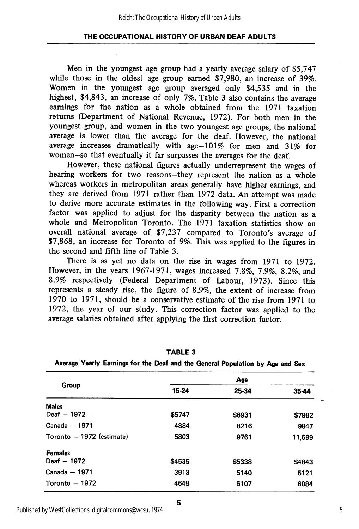Men in the youngest age group had a yearly average salary of \$5,747 while those in the oldest age group earned \$7,980, an increase of 39%. Women in the youngest age group averaged only \$4,535 and in the highest, \$4,843, an increase of only 7%. Table 3 also contains the average earnings for the nation as a whole obtained from the 1971 taxation returns (Department of National Revenue, 1972). For both men in the youngest group, and women in the two youngest age groups, the national average is lower than the average for the deaf. However, the national average increases dramatically with age-101% for men and 31% for women-so that eventually it far surpasses the averages for the deaf.

However, these national figures actually underrepresent the wages of hearing workers for two reasons—they represent the nation as a whole whereas workers in metropolitan areas generally have higher earnings, and they are derived from 1971 rather than 1972 data. An attempt was made to derive more accurate estimates in the following way. First a correction factor was applied to adjust for the disparity between the nation as a whole and Metropolitan Toronto. The 1971 taxation statistics show an overall national average of \$7,237 compared to Toronto's average of \$7,868, an increase for Toronto of 9%. This was applied to the figures in the second and fifth line of Table 3.

There is as yet no data on the rise in wages from 1971 to 1972. However, in the years 1967-1971, wages increased 7.8%, 7.9%, 8.2%, and 8.9% respectively (Federal Department of Labour, 1973). Since this represents a steady rise, the figure of 8.9%, the extent of increase from 1970 to 1971, should be a conservative estimate of the rise from 1971 to 1972, the year of our study. This correction factor was applied to the average salaries obtained after applying the first correction factor.

|                           | Age    |        |        |  |  |  |
|---------------------------|--------|--------|--------|--|--|--|
| Group                     | 15-24  | 25-34  | 35-44  |  |  |  |
| <b>Males</b>              |        |        |        |  |  |  |
| Deaf - 1972               | \$5747 | \$6931 | \$7982 |  |  |  |
| Canada - 1971             | 4884   | 8216   | 9847   |  |  |  |
| Toronto - 1972 (estimate) | 5803   | 9761   | 11,699 |  |  |  |
| <b>Females</b>            |        |        |        |  |  |  |
| Deaf - 1972               | \$4535 | \$5338 | \$4843 |  |  |  |
| Canada - 1971             | 3913   | 5140   | 5121   |  |  |  |
| Toronto - 1972            | 4649   | 6107   | 6084   |  |  |  |

TABLE 3

|  | Average Yearly Earnings for the Deaf and the General Population by Age and Sex |  |  |  |  |  |
|--|--------------------------------------------------------------------------------|--|--|--|--|--|
|  |                                                                                |  |  |  |  |  |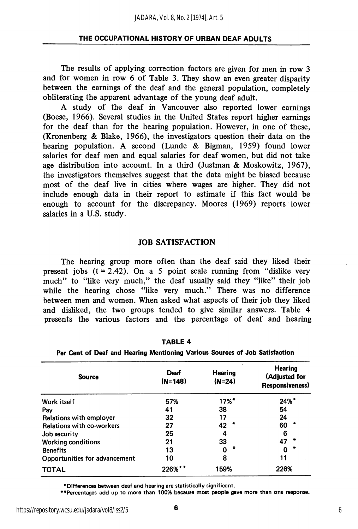The results of applying correction factors are given for men in row 3 and for women in row 6 of Table 3. They show an even greater disparity between the earnings of the deaf and the general population, completely obliterating the apparent advantage of the young deaf adult.

A study of the deaf in Vancouver also reported lower earnings (Boese, 1966). Several studies in the United States report higher earnings for the deaf than for the hearing population. However, in one of these, (Kronenberg & Blake, 1966), the investigators question their data on the hearing population. A second (Lunde & Bigman, 1959) found lower salaries for deaf men and equal salaries for deaf women, but did not take age distribution into account. In a third (Justman & Moskowitz, 1967), the investigators themselves suggest that the data might be biased because most of the deaf live in cities where wages are higher. They did not include enough data in their report to estimate if this fact would be enough to account for the discrepancy. Moores (1969) reports lower salaries in a U.S. study.

#### JOB SATISFACTION

The hearing group more often than the deaf said they liked their present jobs  $(t = 2.42)$ . On a 5 point scale running from "dislike very much" to "like very much," the deaf usually said they "like" their job while the hearing chose "like very much." There was no difference between men and women. When asked what aspects of their job they liked and disliked, the two groups tended to give similar answers. Table 4 presents the various factors and the percentage of deaf and hearing

| <b>Source</b>                    | Deaf<br>$(N=148)$ | <b>Hearing</b><br>$(N=24)$ | <b>Hearing</b><br>(Adjusted for<br><b>Responsiveness</b> ) |  |  |
|----------------------------------|-------------------|----------------------------|------------------------------------------------------------|--|--|
| Work itself                      | 57%               | $17%$ <sup>*</sup>         | $24\%$ <sup>*</sup>                                        |  |  |
| Pav                              | 41                | 38                         | 54                                                         |  |  |
| Relations with employer          | 32                | 17                         | 24                                                         |  |  |
| <b>Relations with co-workers</b> | 27                | ÷<br>42                    | 60                                                         |  |  |
| Job security                     | 25                | 4                          | 6                                                          |  |  |
| <b>Working conditions</b>        | 21                | 33                         | 47                                                         |  |  |
| <b>Benefits</b>                  | 13                |                            | ۰                                                          |  |  |
| Opportunities for advancement    | 10                | 8                          |                                                            |  |  |
| <b>TOTAL</b>                     | 226%**            | 159%                       | 226%                                                       |  |  |

TABLE 4

Per Cent of Deaf and Hearing Mentioning Various Sources of Job Satisfaction

^Differences between deaf and hearing are statistically significant.

♦•Percentages add up to more than 100% because most people gave more than one response.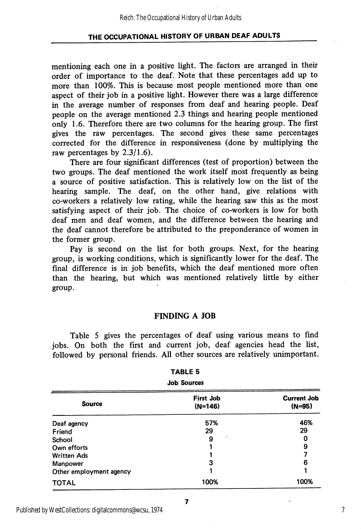mentioning each one in a positive light. The factors are arranged in their order of importance to the deaf. Note that these percentages add up to more than 100%. This is because most people mentioned more than one aspect of their job in a positive light. However there was a large difference in the average number of responses from deaf and hearing people. Deaf people on the average mentioned 2.3 things and hearing people mentioned only 1.6. Therefore there are two columns for the hearing group. The first gives the raw percentages. The second gives these same percentages corrected for the difference in responsiveness (done by multiplying the raw percentages by 2.3/1.6).

There are four significant differences (test of proportion) between the two groups. The deaf mentioned the work itself most frequently as being a source of positive satisfaction. This is relatively low on the list of the hearing sample. The deaf, on the other hand, give relations with co-workers a relatively low rating, while the hearing saw this as the most satisfying aspect of their job. The choice of co-workers is low for both deaf men and deaf women, and the difference between the hearing and the deaf cannot therefore be attributed to the preponderance of women in the former group.

Pay is second on the list for both groups. Next, for the hearing group, is working conditions, which is significantly lower for the deaf. The final difference is in job benefits, which the deaf mentioned more often than the hearing, but which was mentioned relatively little by either group.

#### FINDING A JOB

Table 5 gives the percentages of deaf using various means to find jobs. On both the first and current job, deaf agencies head the list, followed by personal friends. All other sources are relatively unimportant.

| .<br><b>Job Sources</b> |                               |                                |  |  |
|-------------------------|-------------------------------|--------------------------------|--|--|
| <b>Source</b>           | <b>First Job</b><br>$(N=146)$ | <b>Current Job</b><br>$(N=95)$ |  |  |
| Deaf agency             | 57%                           | 46%                            |  |  |
| Friend                  | 29                            | 29                             |  |  |
| School                  | 9                             | 0                              |  |  |
| Own efforts             |                               | 9                              |  |  |
| <b>Written Ads</b>      |                               |                                |  |  |
| Manpower                | 3                             | 6                              |  |  |
| Other employment agency |                               |                                |  |  |
| <b>TOTAL</b>            | 100%                          | 100%                           |  |  |

# TABLE 5

#### Published by WestCollections: digitalcommons@wcsu, 1974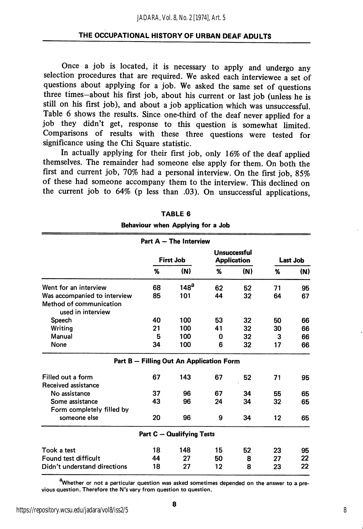Once a job is located, it is necessary to apply and undergo any selection procedures that are required. We asked each interviewee a set of questions about applying for a job. We asked the same set of questions three times—about his first job, about his current or last job (unless he is still on his first job), and about a job application which was unsuccessful. Table 6 shows the results. Since one-third of the deaf never applied for a job they didn't get, response to this question is somewhat limited. Comparisons of results with these three questions were tested for significance using the Chi Square statistic.

In actually applying for their first job, only 16% of the deaf applied themselves. The remainder had someone else apply for them. On both the first and current job, 70% had a personal interview. On the first job, 85% of these had someone accompany them to the interview. This declined on the current job to 64% (p less than .03). On unsuccessful applications,

|                                                                              |                  | Part $A$ $-$ The Interview               |                                           |     |                 |     |
|------------------------------------------------------------------------------|------------------|------------------------------------------|-------------------------------------------|-----|-----------------|-----|
|                                                                              | <b>First Job</b> |                                          | <b>Unsuccessful</b><br><b>Application</b> |     | <b>Last Job</b> |     |
|                                                                              | %                | (N)                                      | %                                         | (N) | %               | (N) |
| Went for an interview                                                        | 68               | 148 <sup>a</sup>                         | 62                                        | 52  | 71              | 95  |
| Was accompanied to interview<br>Method of communication<br>used in interview | 85               | 101                                      | 44                                        | 32  | 64              | 67  |
| Speech                                                                       | 40               | 100                                      | 53                                        | 32  | 50              | 66  |
| Writina                                                                      | 21               | 100                                      | 41                                        | 32  | 30              | 66  |
| Manual                                                                       | 5                | 100                                      | 0                                         | 32  | 3               | 66  |
| None                                                                         | 34               | 100                                      | 6                                         | 32  | 17              | 66  |
|                                                                              |                  | Part B - Filling Out An Application Form |                                           |     |                 |     |
| Filled out a form<br>Received assistance                                     | 67               | 143                                      | 67                                        | 52  | 71              | 95  |
| No assistance                                                                | 37               | 96                                       | 67                                        | 34  | 55              | 65  |
| Some assistance                                                              | 43               | 96                                       | 24                                        | 34  | 32              | 65  |
| Form completely filled by                                                    |                  |                                          |                                           |     |                 |     |
| someone else                                                                 | 20               | 96                                       | 9                                         | 34  | 12              | 65  |
|                                                                              |                  | <b>Part C - Qualifying Tests</b>         |                                           |     |                 |     |
| Took a test                                                                  | 18               | 148                                      | 15                                        | 52  | 23              | 95  |
| Found test difficult                                                         | 44               | 27                                       | 50                                        | 8   | 27              | 22  |
| Didn't understand directions                                                 | 18               | 27                                       | 12                                        | 8   | 23              | 22  |

| TABLE 6 |  |
|---------|--|
|---------|--|

Behaviour when Applying for a Job

<sup>a</sup>Whether or not a particular question was asked sometimes depended on the answer to a previous question. Therefore the N's vary from question to question.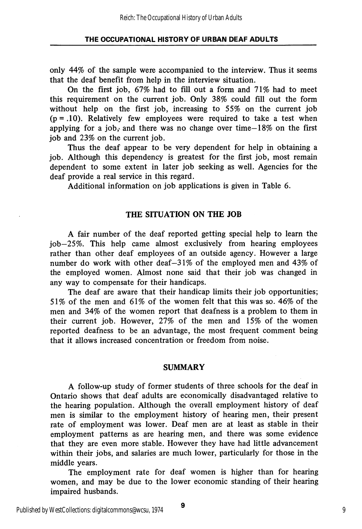only 44% of the sample were accompanied to the interview. Thus it seems that the deaf benefit from help in the interview situation.

On the first job, 67% had to fill out a form and 71% had to meet this requirement on the current job. Only 38% could fill out the form without help on the first job, increasing to 55% on the current job  $(p = .10)$ . Relatively few employees were required to take a test when applying for a job, and there was no change over time–18% on the first job and 23% on the current job.

Thus the deaf appear to be very dependent for help in obtaining a job. Although this dependency is greatest for the first job, most remain dependent to some extent in later job seeking as well. Agencies for the deaf provide a real service in this regard.

Additional information on job applications is given in Table 6.

#### THE SITUATION ON THE JOB

A fair number of the deaf reported getting special help to learn the job—25%. This help came almost exclusively from hearing employees rather than other deaf employees of an outside agency. However a large number do work with other deaf—31% of the employed men and 43% of the employed women. Almost none said that their job was changed in any way to compensate for their handicaps.

The deaf are aware that their handicap limits their job opportunities; 51% of the men and 61% of the women felt that this was so. 46% of the men and 34% of the women report that deafness is a problem to them in their current job. However, 27% of the men and 15% of the women reported deafness to be an advantage, the most frequent comment being that it allows increased concentration or freedom from noise.

#### SUMMARY

A follow-up study of former students of three schools for the deaf in Ontario shows that deaf adults are economically disadvantaged relative to the hearing population. Although the overall employment history of deaf men is similar to the employment history of hearing men, their present rate of employment was lower. Deaf men are at least as stable in their employment patterns as are hearing men, and there was some evidence that they are even more stable. However they have had little advancement within their jobs, and salaries are much lower, particularly for those in the middle years.

The employment rate for deaf women is higher than for hearing women, and may be due to the lower economic standing of their hearing impaired husbands.